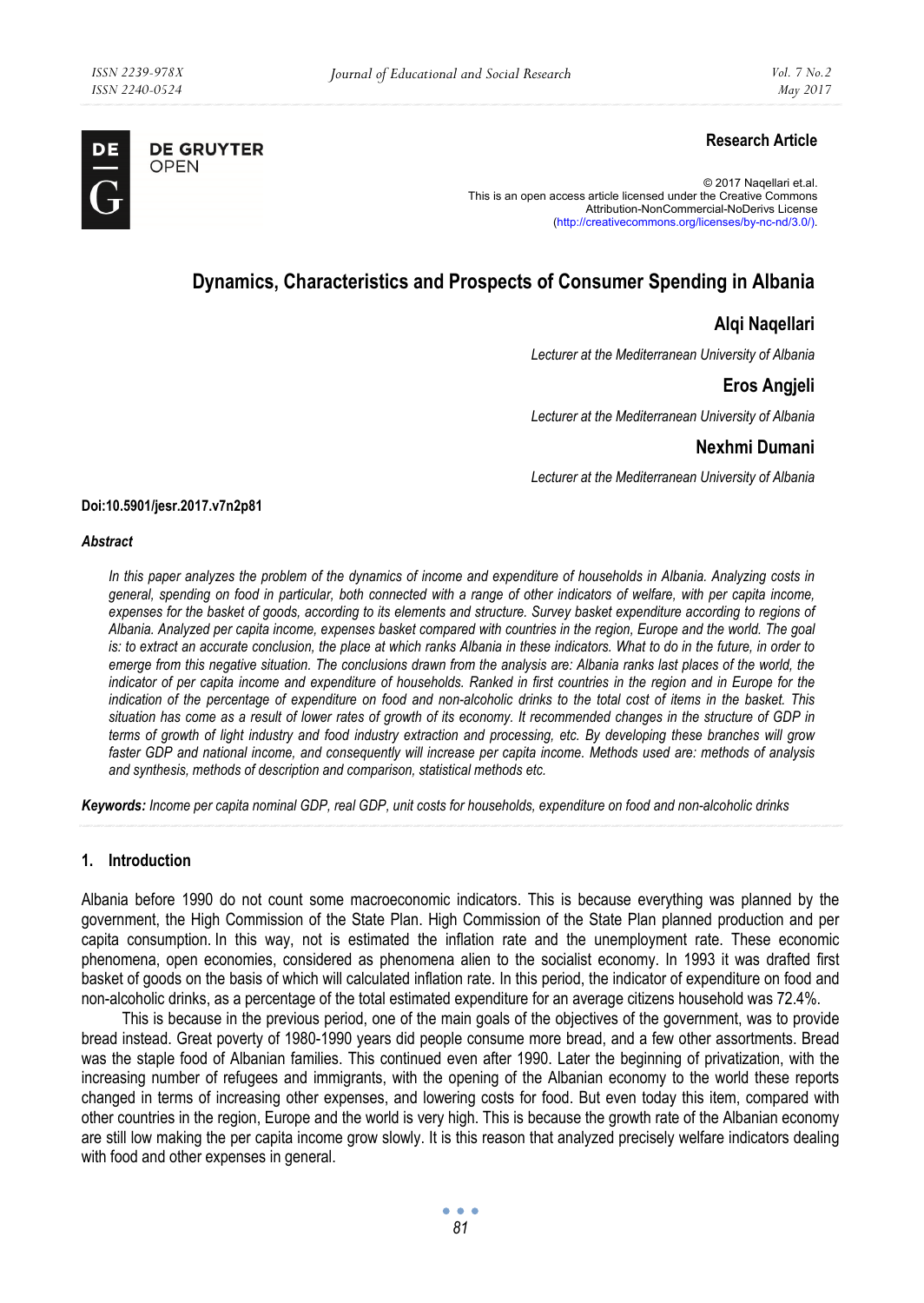

**DE GRUYTER** OPEN

# **Research Article**

© 2017 Naqellari et.al. This is an open access article licensed under the Creative Commons Attribution-NonCommercial-NoDerivs License (http://creativecommons.org/licenses/by-nc-nd/3.0/).

# **Dynamics, Characteristics and Prospects of Consumer Spending in Albania**

## **Alqi Naqellari**

*Lecturer at the Mediterranean University of Albania* 

# **Eros Angjeli**

*Lecturer at the Mediterranean University of Albania* 

### **Nexhmi Dumani**

*Lecturer at the Mediterranean University of Albania* 

#### **Doi:10.5901/jesr.2017.v7n2p81**

#### *Abstract*

*In this paper analyzes the problem of the dynamics of income and expenditure of households in Albania. Analyzing costs in general, spending on food in particular, both connected with a range of other indicators of welfare, with per capita income, expenses for the basket of goods, according to its elements and structure. Survey basket expenditure according to regions of Albania. Analyzed per capita income, expenses basket compared with countries in the region, Europe and the world. The goal is: to extract an accurate conclusion, the place at which ranks Albania in these indicators. What to do in the future, in order to emerge from this negative situation. The conclusions drawn from the analysis are: Albania ranks last places of the world, the indicator of per capita income and expenditure of households. Ranked in first countries in the region and in Europe for the indication of the percentage of expenditure on food and non-alcoholic drinks to the total cost of items in the basket. This situation has come as a result of lower rates of growth of its economy. It recommended changes in the structure of GDP in terms of growth of light industry and food industry extraction and processing, etc. By developing these branches will grow faster GDP and national income, and consequently will increase per capita income. Methods used are: methods of analysis and synthesis, methods of description and comparison, statistical methods etc.* 

*Keywords: Income per capita nominal GDP, real GDP, unit costs for households, expenditure on food and non-alcoholic drinks* 

#### **1. Introduction**

Albania before 1990 do not count some macroeconomic indicators. This is because everything was planned by the government, the High Commission of the State Plan. High Commission of the State Plan planned production and per capita consumption. In this way, not is estimated the inflation rate and the unemployment rate. These economic phenomena, open economies, considered as phenomena alien to the socialist economy. In 1993 it was drafted first basket of goods on the basis of which will calculated inflation rate. In this period, the indicator of expenditure on food and non-alcoholic drinks, as a percentage of the total estimated expenditure for an average citizens household was 72.4%.

This is because in the previous period, one of the main goals of the objectives of the government, was to provide bread instead. Great poverty of 1980-1990 years did people consume more bread, and a few other assortments. Bread was the staple food of Albanian families. This continued even after 1990. Later the beginning of privatization, with the increasing number of refugees and immigrants, with the opening of the Albanian economy to the world these reports changed in terms of increasing other expenses, and lowering costs for food. But even today this item, compared with other countries in the region, Europe and the world is very high. This is because the growth rate of the Albanian economy are still low making the per capita income grow slowly. It is this reason that analyzed precisely welfare indicators dealing with food and other expenses in general.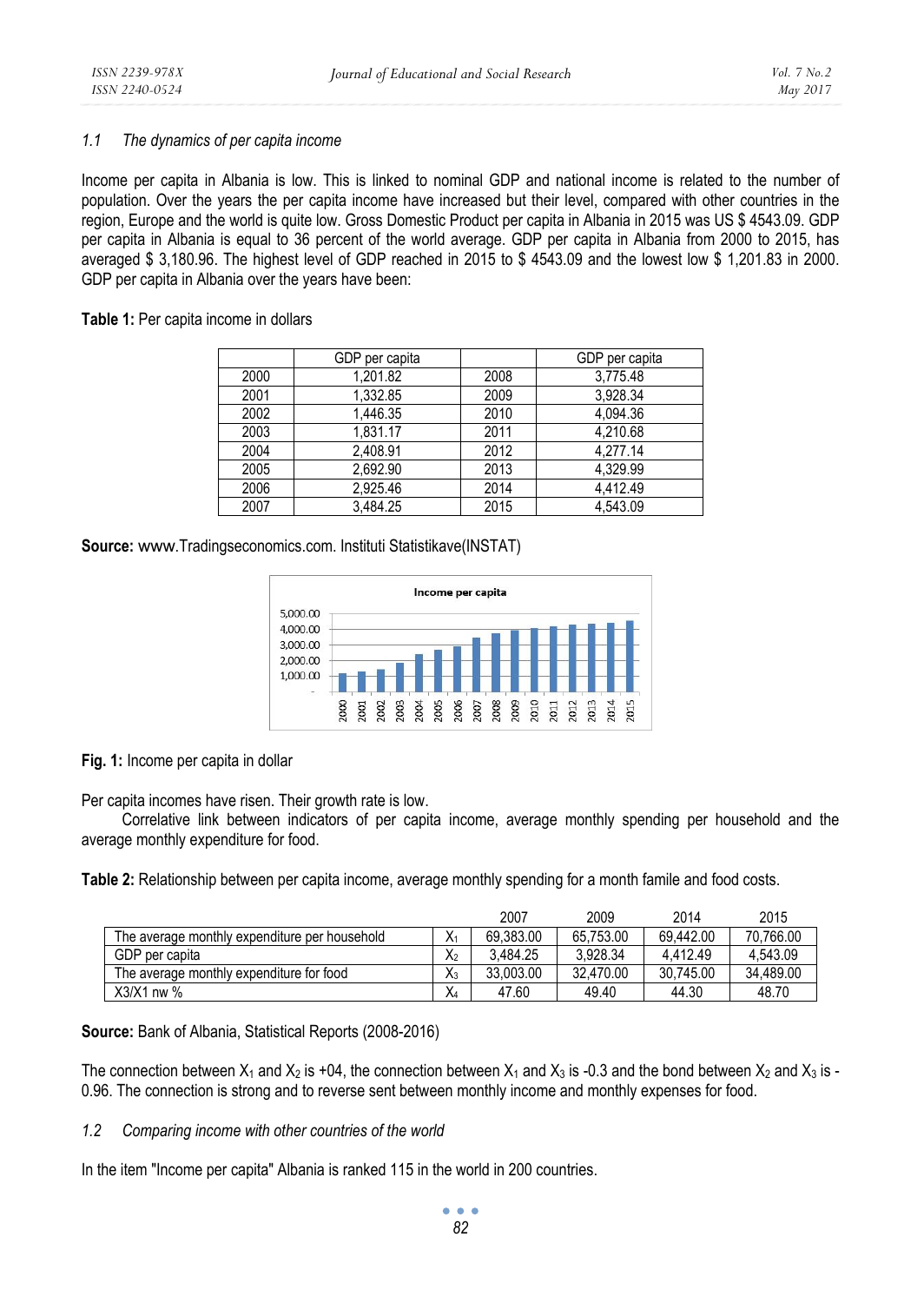#### *1.1 The dynamics of per capita income*

Income per capita in Albania is low. This is linked to nominal GDP and national income is related to the number of population. Over the years the per capita income have increased but their level, compared with other countries in the region, Europe and the world is quite low. Gross Domestic Product per capita in Albania in 2015 was US \$ 4543.09. GDP per capita in Albania is equal to 36 percent of the world average. GDP per capita in Albania from 2000 to 2015, has averaged \$ 3,180.96. The highest level of GDP reached in 2015 to \$ 4543.09 and the lowest low \$ 1,201.83 in 2000. GDP per capita in Albania over the years have been:

**Table 1:** Per capita income in dollars

|      | GDP per capita |      | GDP per capita |
|------|----------------|------|----------------|
| 2000 | 1.201.82       | 2008 | 3.775.48       |
| 2001 | 1.332.85       | 2009 | 3,928.34       |
| 2002 | 1.446.35       | 2010 | 4.094.36       |
| 2003 | 1.831.17       | 2011 | 4,210.68       |
| 2004 | 2.408.91       | 2012 | 4.277.14       |
| 2005 | 2.692.90       | 2013 | 4.329.99       |
| 2006 | 2.925.46       | 2014 | 4.412.49       |
| 2007 | 3.484.25       | 2015 | 4.543.09       |

**Source:** www.Tradingseconomics.com. Instituti Statistikave(INSTAT)



**Fig. 1:** Income per capita in dollar

Per capita incomes have risen. Their growth rate is low.

Correlative link between indicators of per capita income, average monthly spending per household and the average monthly expenditure for food.

**Table 2:** Relationship between per capita income, average monthly spending for a month famile and food costs.

|                                               |       | 2007      | 2009      | 2014      | 2015      |
|-----------------------------------------------|-------|-----------|-----------|-----------|-----------|
| The average monthly expenditure per household | Χ     | 69.383.00 | 65.753.00 | 69.442.00 | 70.766.00 |
| GDP per capita                                | Х2    | 3.484.25  | 3.928.34  | 4.412.49  | 4.543.09  |
| The average monthly expenditure for food      | $X_3$ | 33.003.00 | 32.470.00 | 30.745.00 | 34.489.00 |
| $X3/X1$ nw %                                  | X4    | 47.60     | 49.40     | 44.30     | 48.70     |

**Source:** Bank of Albania, Statistical Reports (2008-2016)

The connection between  $X_1$  and  $X_2$  is +04, the connection between  $X_1$  and  $X_3$  is -0.3 and the bond between  $X_2$  and  $X_3$  is -0.96. The connection is strong and to reverse sent between monthly income and monthly expenses for food.

## *1.2 Comparing income with other countries of the world*

In the item "Income per capita" Albania is ranked 115 in the world in 200 countries.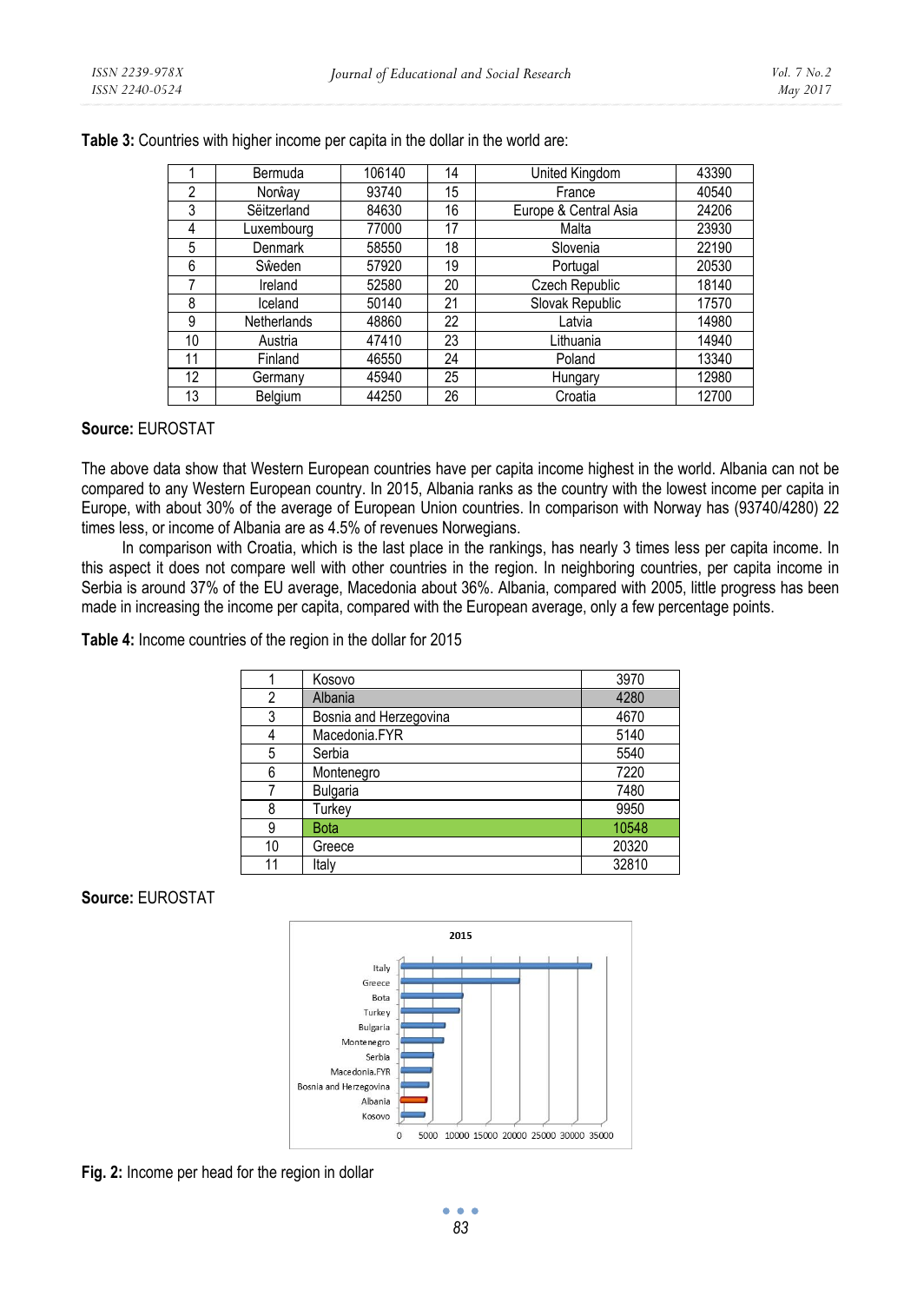|    | Bermuda     | 106140 | 14 | United Kingdom        | 43390 |
|----|-------------|--------|----|-----------------------|-------|
| 2  | Norŵay      | 93740  | 15 | France                | 40540 |
| 3  | Sëitzerland | 84630  | 16 | Europe & Central Asia | 24206 |
| 4  | Luxembourg  | 77000  | 17 | Malta                 | 23930 |
| 5  | Denmark     | 58550  | 18 | Slovenia              | 22190 |
| 6  | Sŵeden      | 57920  | 19 | Portugal              | 20530 |
| 7  | Ireland     | 52580  | 20 | Czech Republic        | 18140 |
| 8  | Iceland     | 50140  | 21 | Slovak Republic       | 17570 |
| 9  | Netherlands | 48860  | 22 | Latvia                | 14980 |
| 10 | Austria     | 47410  | 23 | Lithuania             | 14940 |
| 11 | Finland     | 46550  | 24 | Poland                | 13340 |
| 12 | Germany     | 45940  | 25 | Hungary               | 12980 |
| 13 | Belgium     | 44250  | 26 | Croatia               | 12700 |

**Table 3:** Countries with higher income per capita in the dollar in the world are:

#### **Source:** EUROSTAT

The above data show that Western European countries have per capita income highest in the world. Albania can not be compared to any Western European country. In 2015, Albania ranks as the country with the lowest income per capita in Europe, with about 30% of the average of European Union countries. In comparison with Norway has (93740/4280) 22 times less, or income of Albania are as 4.5% of revenues Norwegians.

In comparison with Croatia, which is the last place in the rankings, has nearly 3 times less per capita income. In this aspect it does not compare well with other countries in the region. In neighboring countries, per capita income in Serbia is around 37% of the EU average, Macedonia about 36%. Albania, compared with 2005, little progress has been made in increasing the income per capita, compared with the European average, only a few percentage points.

**Table 4:** Income countries of the region in the dollar for 2015

|    | Kosovo                 | 3970  |
|----|------------------------|-------|
| 2  | Albania                | 4280  |
| 3  | Bosnia and Herzegovina | 4670  |
|    | Macedonia.FYR          | 5140  |
| 5  | Serbia                 | 5540  |
| 6  | Montenegro             | 7220  |
|    | Bulgaria               | 7480  |
| 8  | Turkey                 | 9950  |
| 9  | <b>Bota</b>            | 10548 |
| 10 | Greece                 | 20320 |
|    | ltalv                  | 32810 |

**Source:** EUROSTAT



**Fig. 2:** Income per head for the region in dollar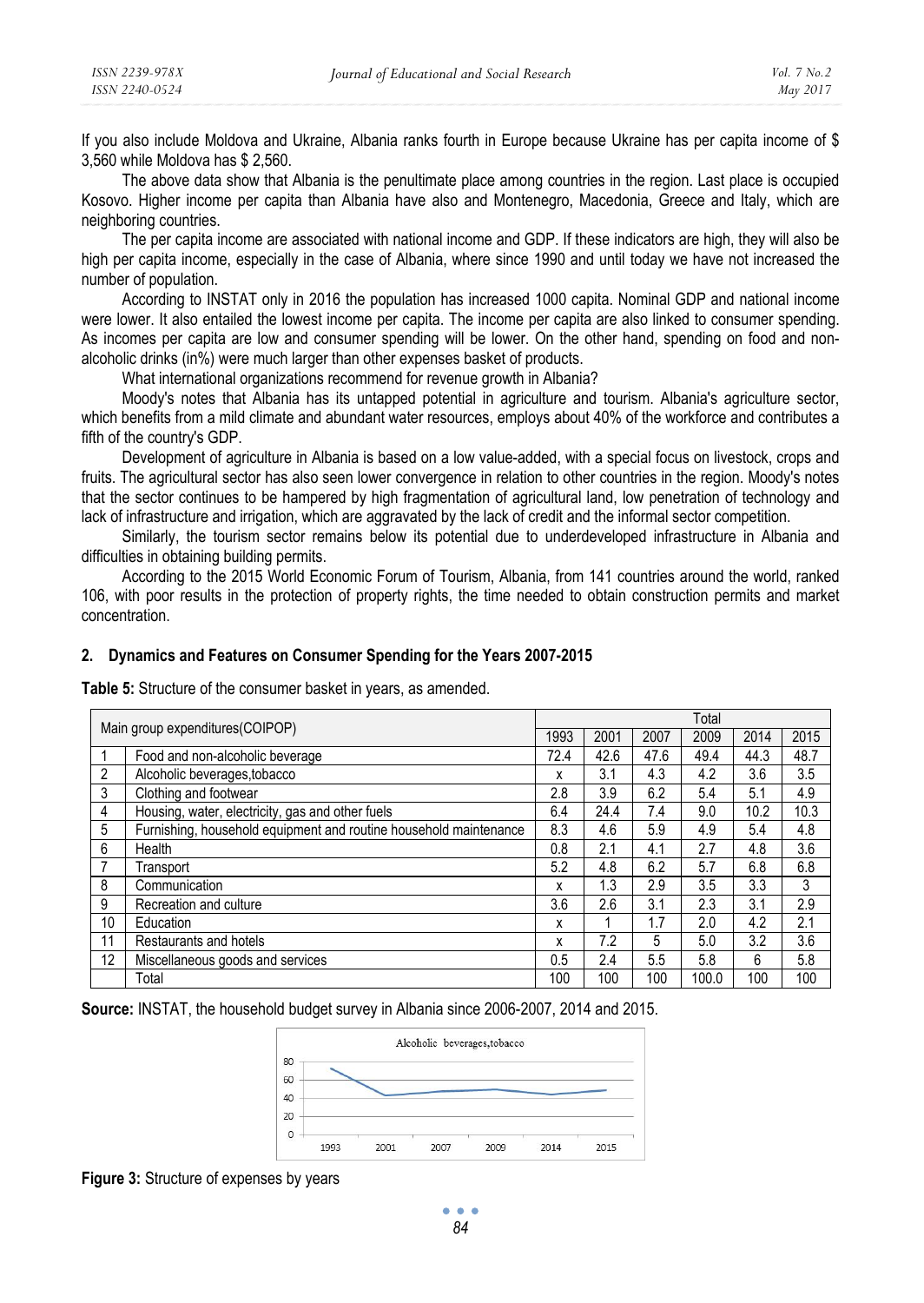If you also include Moldova and Ukraine, Albania ranks fourth in Europe because Ukraine has per capita income of \$ 3,560 while Moldova has \$ 2,560.

The above data show that Albania is the penultimate place among countries in the region. Last place is occupied Kosovo. Higher income per capita than Albania have also and Montenegro, Macedonia, Greece and Italy, which are neighboring countries.

The per capita income are associated with national income and GDP. If these indicators are high, they will also be high per capita income, especially in the case of Albania, where since 1990 and until today we have not increased the number of population.

According to INSTAT only in 2016 the population has increased 1000 capita. Nominal GDP and national income were lower. It also entailed the lowest income per capita. The income per capita are also linked to consumer spending. As incomes per capita are low and consumer spending will be lower. On the other hand, spending on food and nonalcoholic drinks (in%) were much larger than other expenses basket of products.

What international organizations recommend for revenue growth in Albania?

Moody's notes that Albania has its untapped potential in agriculture and tourism. Albania's agriculture sector, which benefits from a mild climate and abundant water resources, employs about 40% of the workforce and contributes a fifth of the country's GDP.

Development of agriculture in Albania is based on a low value-added, with a special focus on livestock, crops and fruits. The agricultural sector has also seen lower convergence in relation to other countries in the region. Moody's notes that the sector continues to be hampered by high fragmentation of agricultural land, low penetration of technology and lack of infrastructure and irrigation, which are aggravated by the lack of credit and the informal sector competition.

Similarly, the tourism sector remains below its potential due to underdeveloped infrastructure in Albania and difficulties in obtaining building permits.

According to the 2015 World Economic Forum of Tourism, Albania, from 141 countries around the world, ranked 106, with poor results in the protection of property rights, the time needed to obtain construction permits and market concentration.

#### **2. Dynamics and Features on Consumer Spending for the Years 2007-2015**

**Table 5:** Structure of the consumer basket in years, as amended.

|                |                                                                   | Total |      |      |       |      |      |  |  |
|----------------|-------------------------------------------------------------------|-------|------|------|-------|------|------|--|--|
|                | Main group expenditures (COIPOP)                                  | 1993  | 2001 | 2007 | 2009  | 2014 | 2015 |  |  |
|                | Food and non-alcoholic beverage                                   | 72.4  | 42.6 | 47.6 | 49.4  | 44.3 | 48.7 |  |  |
| $\overline{2}$ | Alcoholic beverages, tobacco                                      | x     | 3.1  | 4.3  | 4.2   | 3.6  | 3.5  |  |  |
| 3              | Clothing and footwear                                             | 2.8   | 3.9  | 6.2  | 5.4   | 5.1  | 4.9  |  |  |
| 4              | Housing, water, electricity, gas and other fuels                  | 6.4   | 24.4 | 7.4  | 9.0   | 10.2 | 10.3 |  |  |
| 5              | Furnishing, household equipment and routine household maintenance | 8.3   | 4.6  | 5.9  | 4.9   | 5.4  | 4.8  |  |  |
| 6              | Health                                                            | 0.8   | 2.1  | 4.1  | 2.7   | 4.8  | 3.6  |  |  |
|                | Transport                                                         | 5.2   | 4.8  | 6.2  | 5.7   | 6.8  | 6.8  |  |  |
| 8              | Communication                                                     | x     | 1.3  | 2.9  | 3.5   | 3.3  | 3    |  |  |
| 9              | Recreation and culture                                            | 3.6   | 2.6  | 3.1  | 2.3   | 3.1  | 2.9  |  |  |
| 10             | Education                                                         | x     |      | 1.7  | 2.0   | 4.2  | 2.1  |  |  |
| 11             | Restaurants and hotels                                            | x     | 7.2  | 5    | 5.0   | 3.2  | 3.6  |  |  |
| 12             | Miscellaneous goods and services                                  | 0.5   | 2.4  | 5.5  | 5.8   | 6    | 5.8  |  |  |
|                | Total                                                             | 100   | 100  | 100  | 100.0 | 100  | 100  |  |  |

**Source:** INSTAT, the household budget survey in Albania since 2006-2007, 2014 and 2015.



**Figure 3:** Structure of expenses by years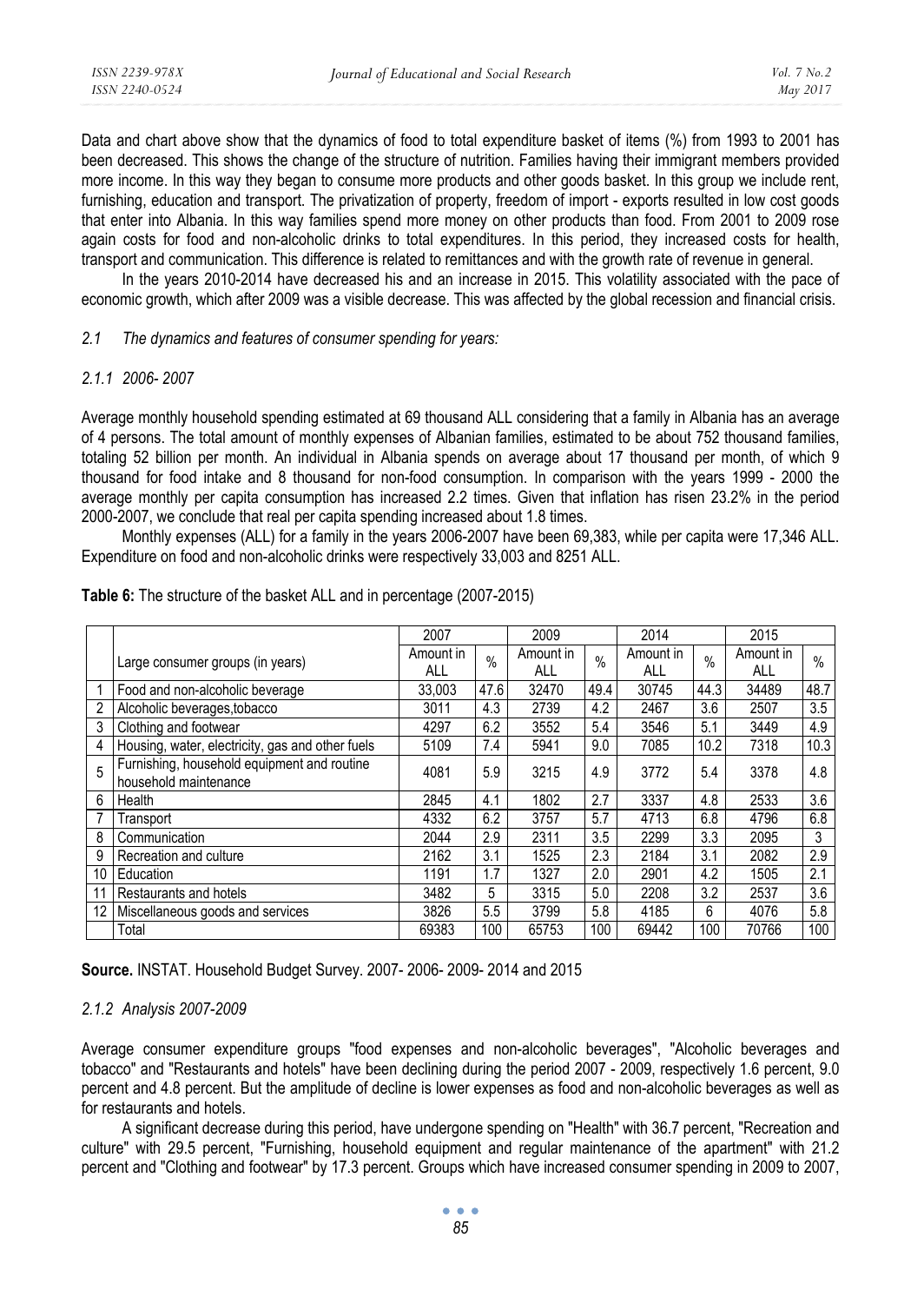Data and chart above show that the dynamics of food to total expenditure basket of items (%) from 1993 to 2001 has been decreased. This shows the change of the structure of nutrition. Families having their immigrant members provided more income. In this way they began to consume more products and other goods basket. In this group we include rent, furnishing, education and transport. The privatization of property, freedom of import - exports resulted in low cost goods that enter into Albania. In this way families spend more money on other products than food. From 2001 to 2009 rose again costs for food and non-alcoholic drinks to total expenditures. In this period, they increased costs for health, transport and communication. This difference is related to remittances and with the growth rate of revenue in general.

In the years 2010-2014 have decreased his and an increase in 2015. This volatility associated with the pace of economic growth, which after 2009 was a visible decrease. This was affected by the global recession and financial crisis.

#### *2.1 The dynamics and features of consumer spending for years:*

#### *2.1.1 2006- 2007*

Average monthly household spending estimated at 69 thousand ALL considering that a family in Albania has an average of 4 persons. The total amount of monthly expenses of Albanian families, estimated to be about 752 thousand families, totaling 52 billion per month. An individual in Albania spends on average about 17 thousand per month, of which 9 thousand for food intake and 8 thousand for non-food consumption. In comparison with the years 1999 - 2000 the average monthly per capita consumption has increased 2.2 times. Given that inflation has risen 23.2% in the period 2000-2007, we conclude that real per capita spending increased about 1.8 times.

Monthly expenses (ALL) for a family in the years 2006-2007 have been 69,383, while per capita were 17,346 ALL. Expenditure on food and non-alcoholic drinks were respectively 33,003 and 8251 ALL.

|    |                                                                      | 2007             |               | 2009             |               | 2014             |      | 2015             |      |
|----|----------------------------------------------------------------------|------------------|---------------|------------------|---------------|------------------|------|------------------|------|
|    | Large consumer groups (in years)                                     | Amount in<br>ALL | $\frac{0}{0}$ | Amount in<br>ALL | $\frac{0}{0}$ | Amount in<br>ALL | $\%$ | Amount in<br>ALL | $\%$ |
|    | Food and non-alcoholic beverage                                      | 33.003           | 47.6          | 32470            | 49.4          | 30745            | 44.3 | 34489            | 48.7 |
| 2  | Alcoholic beverages, tobacco                                         | 3011             | 4.3           | 2739             | 4.2           | 2467             | 3.6  | 2507             | 3.5  |
| 3  | Clothing and footwear                                                | 4297             | 6.2           | 3552             | 5.4           | 3546             | 5.1  | 3449             | 4.9  |
| 4  | Housing, water, electricity, gas and other fuels                     | 5109             | 7.4           | 5941             | 9.0           | 7085             | 10.2 | 7318             | 10.3 |
| 5  | Furnishing, household equipment and routine<br>household maintenance | 4081             | 5.9           | 3215             | 4.9           | 3772             | 5.4  | 3378             | 4.8  |
| 6  | Health                                                               | 2845             | 4.1           | 1802             | 2.7           | 3337             | 4.8  | 2533             | 3.6  |
|    | Transport                                                            | 4332             | 6.2           | 3757             | 5.7           | 4713             | 6.8  | 4796             | 6.8  |
| 8  | Communication                                                        | 2044             | 2.9           | 2311             | 3.5           | 2299             | 3.3  | 2095             | 3    |
| 9  | Recreation and culture                                               | 2162             | 3.1           | 1525             | 2.3           | 2184             | 3.1  | 2082             | 2.9  |
| 10 | Education                                                            | 1191             | 1.7           | 1327             | 2.0           | 2901             | 4.2  | 1505             | 2.1  |
| 11 | Restaurants and hotels                                               | 3482             | 5             | 3315             | 5.0           | 2208             | 3.2  | 2537             | 3.6  |
|    | 12 Miscellaneous goods and services                                  | 3826             | 5.5           | 3799             | 5.8           | 4185             | 6    | 4076             | 5.8  |
|    | Total                                                                | 69383            | 100           | 65753            | 100           | 69442            | 100  | 70766            | 100  |

**Table 6:** The structure of the basket ALL and in percentage (2007-2015)

**Source.** INSTAT. Household Budget Survey. 2007- 2006- 2009- 2014 and 2015

### *2.1.2 Analysis 2007-2009*

Average consumer expenditure groups "food expenses and non-alcoholic beverages", "Alcoholic beverages and tobacco" and "Restaurants and hotels" have been declining during the period 2007 - 2009, respectively 1.6 percent, 9.0 percent and 4.8 percent. But the amplitude of decline is lower expenses as food and non-alcoholic beverages as well as for restaurants and hotels.

A significant decrease during this period, have undergone spending on "Health" with 36.7 percent, "Recreation and culture" with 29.5 percent, "Furnishing, household equipment and regular maintenance of the apartment" with 21.2 percent and "Clothing and footwear" by 17.3 percent. Groups which have increased consumer spending in 2009 to 2007,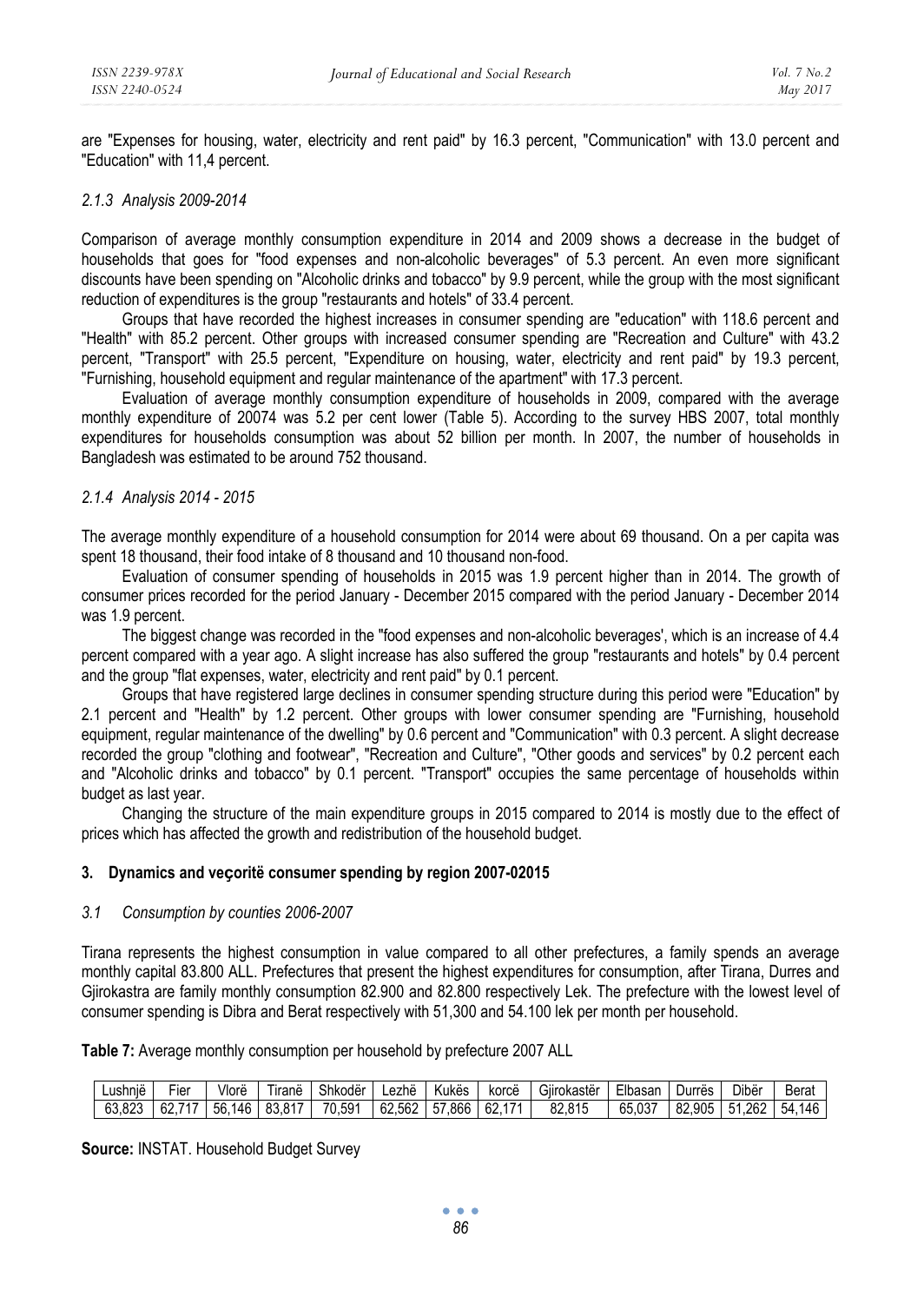are "Expenses for housing, water, electricity and rent paid" by 16.3 percent, "Communication" with 13.0 percent and "Education" with 11,4 percent.

#### *2.1.3 Analysis 2009-2014*

Comparison of average monthly consumption expenditure in 2014 and 2009 shows a decrease in the budget of households that goes for "food expenses and non-alcoholic beverages" of 5.3 percent. An even more significant discounts have been spending on "Alcoholic drinks and tobacco" by 9.9 percent, while the group with the most significant reduction of expenditures is the group "restaurants and hotels" of 33.4 percent.

Groups that have recorded the highest increases in consumer spending are "education" with 118.6 percent and "Health" with 85.2 percent. Other groups with increased consumer spending are "Recreation and Culture" with 43.2 percent, "Transport" with 25.5 percent, "Expenditure on housing, water, electricity and rent paid" by 19.3 percent, "Furnishing, household equipment and regular maintenance of the apartment" with 17.3 percent.

Evaluation of average monthly consumption expenditure of households in 2009, compared with the average monthly expenditure of 20074 was 5.2 per cent lower (Table 5). According to the survey HBS 2007, total monthly expenditures for households consumption was about 52 billion per month. In 2007, the number of households in Bangladesh was estimated to be around 752 thousand.

#### *2.1.4 Analysis 2014 - 2015*

The average monthly expenditure of a household consumption for 2014 were about 69 thousand. On a per capita was spent 18 thousand, their food intake of 8 thousand and 10 thousand non-food.

Evaluation of consumer spending of households in 2015 was 1.9 percent higher than in 2014. The growth of consumer prices recorded for the period January - December 2015 compared with the period January - December 2014 was 1.9 percent.

The biggest change was recorded in the "food expenses and non-alcoholic beverages', which is an increase of 4.4 percent compared with a year ago. A slight increase has also suffered the group "restaurants and hotels" by 0.4 percent and the group "flat expenses, water, electricity and rent paid" by 0.1 percent.

Groups that have registered large declines in consumer spending structure during this period were "Education" by 2.1 percent and "Health" by 1.2 percent. Other groups with lower consumer spending are "Furnishing, household equipment, regular maintenance of the dwelling" by 0.6 percent and "Communication" with 0.3 percent. A slight decrease recorded the group "clothing and footwear", "Recreation and Culture", "Other goods and services" by 0.2 percent each and "Alcoholic drinks and tobacco" by 0.1 percent. "Transport" occupies the same percentage of households within budget as last year.

Changing the structure of the main expenditure groups in 2015 compared to 2014 is mostly due to the effect of prices which has affected the growth and redistribution of the household budget.

#### **3. Dynamics and veҫoritë consumer spending by region 2007-02015**

#### *3.1 Consumption by counties 2006-2007*

Tirana represents the highest consumption in value compared to all other prefectures, a family spends an average monthly capital 83.800 ALL. Prefectures that present the highest expenditures for consumption, after Tirana, Durres and Gjirokastra are family monthly consumption 82.900 and 82.800 respectively Lek. The prefecture with the lowest level of consumer spending is Dibra and Berat respectively with 51,300 and 54.100 lek per month per household.

**Table 7:** Average monthly consumption per household by prefecture 2007 ALL

| .<br>∟ushnie | $- \cdot$<br>-iei | Vlorë     | <br>$- \cdot$<br><b>Irane</b> | .<br>$\sim$<br>Shkoder | $\cdots$<br>∟ezhe | $\cdots$<br>Kukes  | <br>korce           | .<br>$\sim$<br>Gilrokaster | - 11<br><b>Libasar</b> | <br>Durres | Dibër     | Berat             |
|--------------|-------------------|-----------|-------------------------------|------------------------|-------------------|--------------------|---------------------|----------------------------|------------------------|------------|-----------|-------------------|
| 63.823       | ΩZ                | 146<br>56 | 93<br>047<br>ט.ט              | 70.591                 | 62.562            | 866.'<br>--<br>. . | 62<br>$\rightarrow$ | o٥<br>82.815               | <b>027</b><br>65.03.   | 82.905     | .262<br>ь | $-1$<br>146<br>54 |

**Source:** INSTAT. Household Budget Survey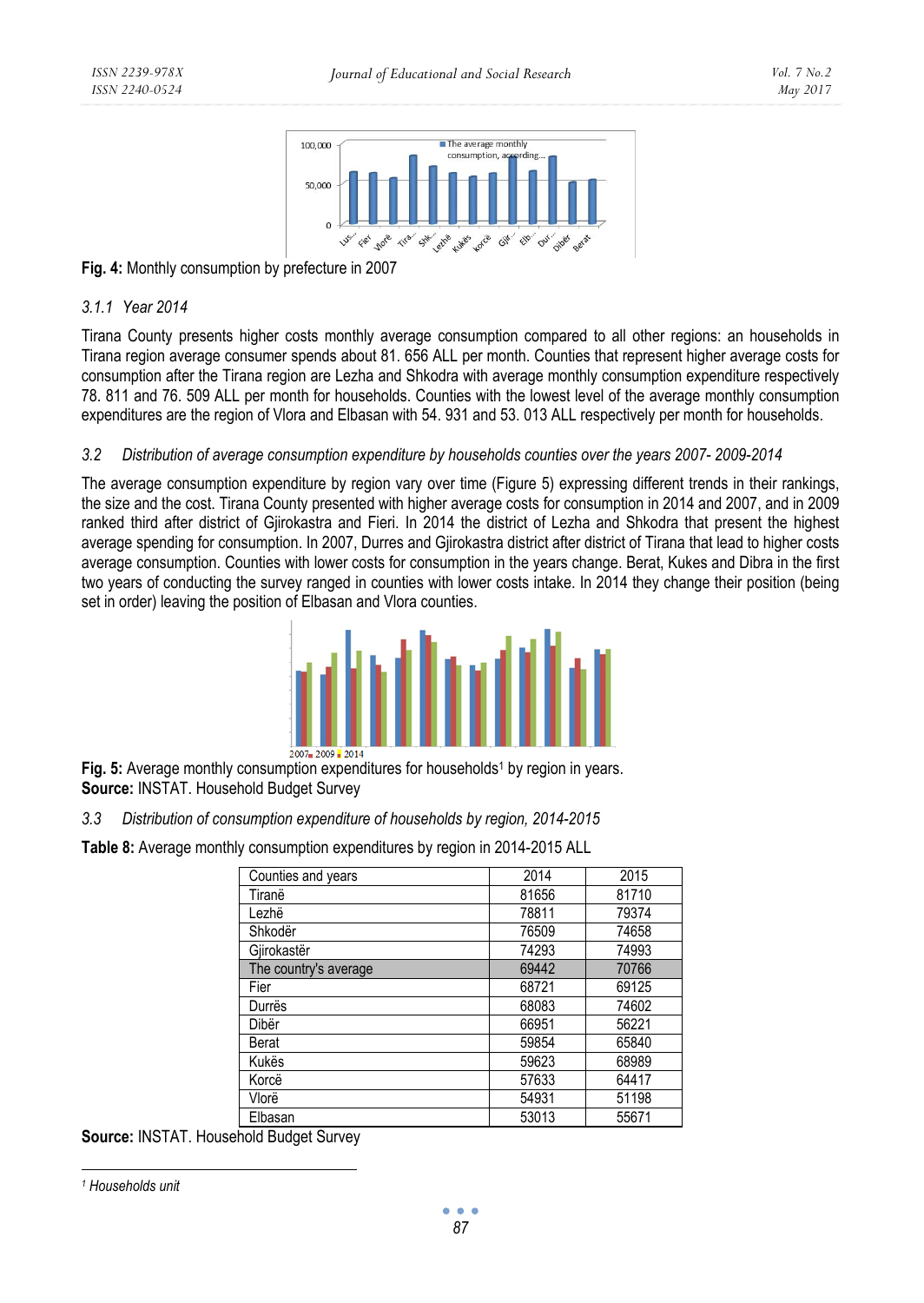

**Fig. 4:** Monthly consumption by prefecture in 2007

### *3.1.1 Year 2014*

Tirana County presents higher costs monthly average consumption compared to all other regions: an households in Tirana region average consumer spends about 81. 656 ALL per month. Counties that represent higher average costs for consumption after the Tirana region are Lezha and Shkodra with average monthly consumption expenditure respectively 78. 811 and 76. 509 ALL per month for households. Counties with the lowest level of the average monthly consumption expenditures are the region of Vlora and Elbasan with 54. 931 and 53. 013 ALL respectively per month for households.

### *3.2 Distribution of average consumption expenditure by households counties over the years 2007- 2009-2014*

The average consumption expenditure by region vary over time (Figure 5) expressing different trends in their rankings, the size and the cost. Tirana County presented with higher average costs for consumption in 2014 and 2007, and in 2009 ranked third after district of Gjirokastra and Fieri. In 2014 the district of Lezha and Shkodra that present the highest average spending for consumption. In 2007, Durres and Gjirokastra district after district of Tirana that lead to higher costs average consumption. Counties with lower costs for consumption in the years change. Berat, Kukes and Dibra in the first two years of conducting the survey ranged in counties with lower costs intake. In 2014 they change their position (being set in order) leaving the position of Elbasan and Vlora counties.



Fig. 5: Average monthly consumption expenditures for households<sup>1</sup> by region in vears. **Source:** INSTAT. Household Budget Survey

## *3.3 Distribution of consumption expenditure of households by region, 2014-2015*

**Table 8:** Average monthly consumption expenditures by region in 2014-2015 ALL

| Counties and years    | 2014  | 2015  |
|-----------------------|-------|-------|
| Tiranë                | 81656 | 81710 |
| Lezhë                 | 78811 | 79374 |
| Shkodër               | 76509 | 74658 |
| Gjirokastër           | 74293 | 74993 |
| The country's average | 69442 | 70766 |
| Fier                  | 68721 | 69125 |
| Durrës                | 68083 | 74602 |
| Dibër                 | 66951 | 56221 |
| Berat                 | 59854 | 65840 |
| Kukës                 | 59623 | 68989 |
| Korcë                 | 57633 | 64417 |
| Vlorë                 | 54931 | 51198 |
| Elbasan               | 53013 | 55671 |

**Source:** INSTAT. Household Budget Survey

 *1 Households unit*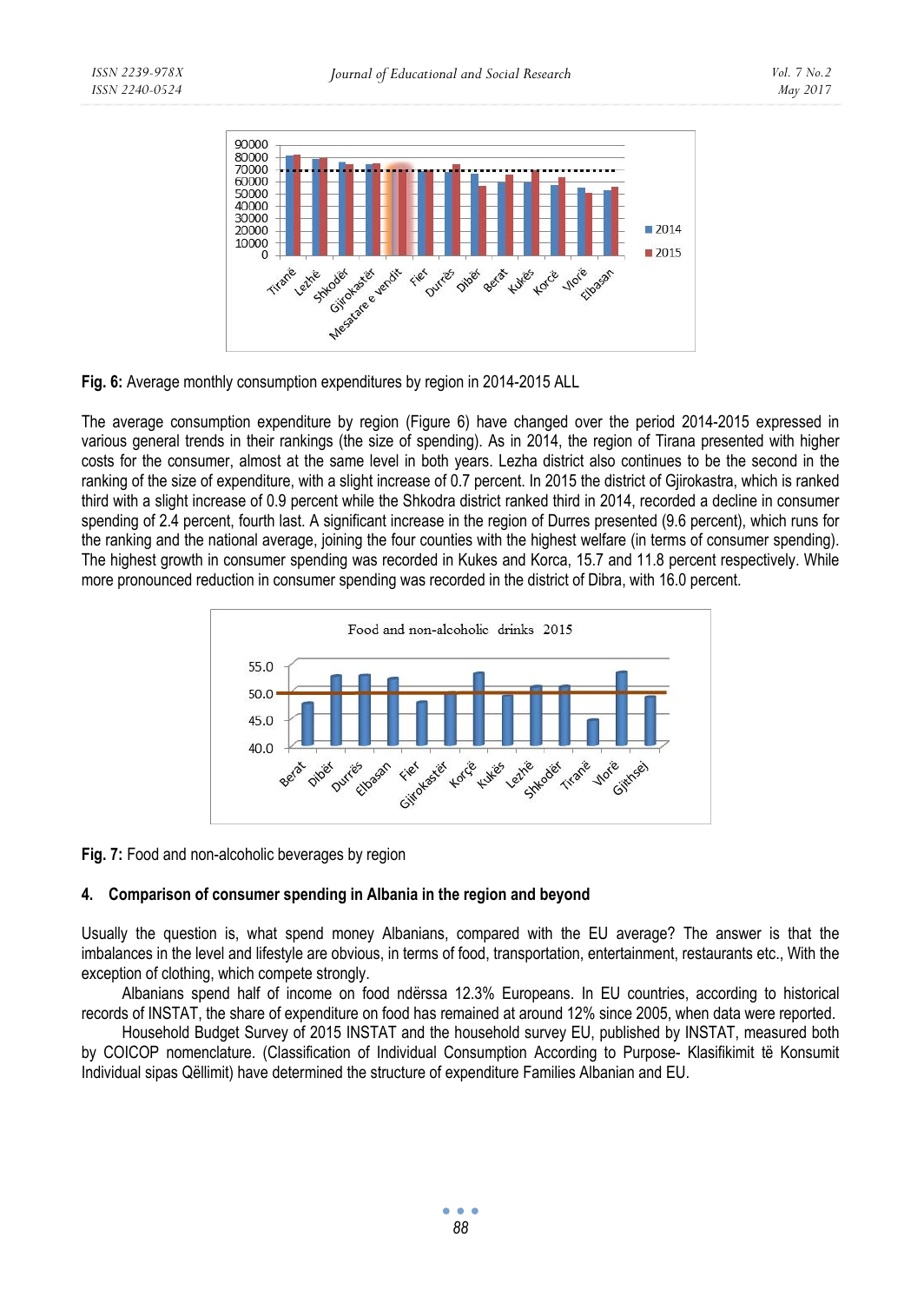

**Fig. 6:** Average monthly consumption expenditures by region in 2014-2015 ALL

The average consumption expenditure by region (Figure 6) have changed over the period 2014-2015 expressed in various general trends in their rankings (the size of spending). As in 2014, the region of Tirana presented with higher costs for the consumer, almost at the same level in both years. Lezha district also continues to be the second in the ranking of the size of expenditure, with a slight increase of 0.7 percent. In 2015 the district of Gjirokastra, which is ranked third with a slight increase of 0.9 percent while the Shkodra district ranked third in 2014, recorded a decline in consumer spending of 2.4 percent, fourth last. A significant increase in the region of Durres presented (9.6 percent), which runs for the ranking and the national average, joining the four counties with the highest welfare (in terms of consumer spending). The highest growth in consumer spending was recorded in Kukes and Korca, 15.7 and 11.8 percent respectively. While more pronounced reduction in consumer spending was recorded in the district of Dibra, with 16.0 percent.



**Fig. 7:** Food and non-alcoholic beverages by region

## **4. Comparison of consumer spending in Albania in the region and beyond**

Usually the question is, what spend money Albanians, compared with the EU average? The answer is that the imbalances in the level and lifestyle are obvious, in terms of food, transportation, entertainment, restaurants etc., With the exception of clothing, which compete strongly.

Albanians spend half of income on food ndërssa 12.3% Europeans. In EU countries, according to historical records of INSTAT, the share of expenditure on food has remained at around 12% since 2005, when data were reported.

Household Budget Survey of 2015 INSTAT and the household survey EU, published by INSTAT, measured both by COICOP nomenclature. (Classification of Individual Consumption According to Purpose- Klasifikimit të Konsumit Individual sipas Qëllimit) have determined the structure of expenditure Families Albanian and EU.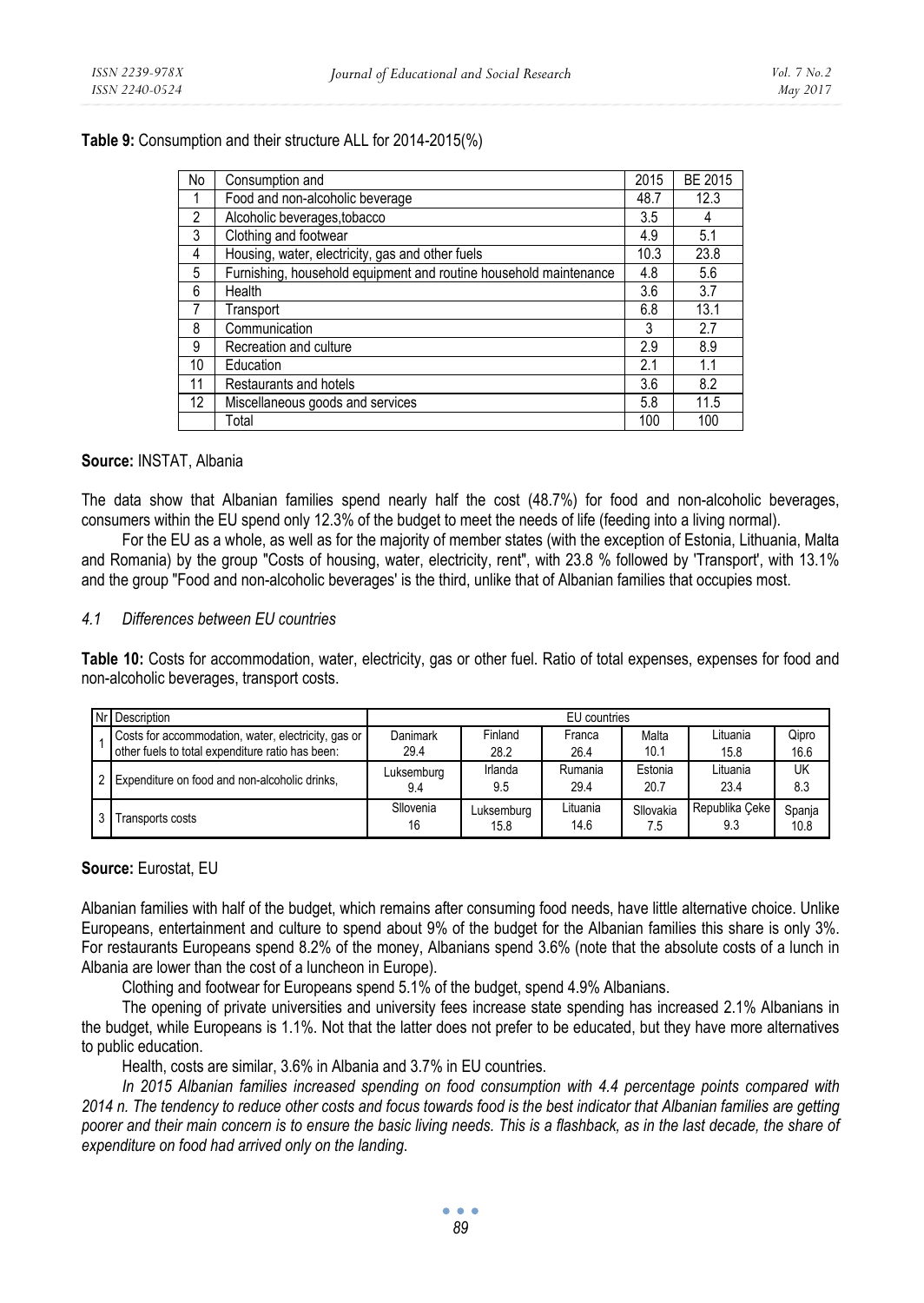#### **Table 9:** Consumption and their structure ALL for 2014-2015(%)

| No             | Consumption and                                                   | 2015 | BE 2015 |
|----------------|-------------------------------------------------------------------|------|---------|
|                | Food and non-alcoholic beverage                                   | 48.7 | 12.3    |
| $\overline{2}$ | Alcoholic beverages, tobacco                                      | 3.5  | 4       |
| 3              | Clothing and footwear                                             | 4.9  | 5.1     |
| 4              | Housing, water, electricity, gas and other fuels                  | 10.3 | 23.8    |
| 5              | Furnishing, household equipment and routine household maintenance | 4.8  | 5.6     |
| 6              | Health                                                            | 3.6  | 3.7     |
|                | Transport                                                         | 6.8  | 13.1    |
| 8              | Communication                                                     | 3    | 2.7     |
| 9              | Recreation and culture                                            | 2.9  | 8.9     |
| 10             | Education                                                         | 2.1  | 1.1     |
| 11             | Restaurants and hotels                                            | 3.6  | 8.2     |
| 12             | Miscellaneous goods and services                                  | 5.8  | 11.5    |
|                | Total                                                             | 100  | 100     |

#### **Source:** INSTAT, Albania

The data show that Albanian families spend nearly half the cost (48.7%) for food and non-alcoholic beverages, consumers within the EU spend only 12.3% of the budget to meet the needs of life (feeding into a living normal).

For the EU as a whole, as well as for the majority of member states (with the exception of Estonia, Lithuania, Malta and Romania) by the group "Costs of housing, water, electricity, rent", with 23.8 % followed by 'Transport', with 13.1% and the group "Food and non-alcoholic beverages' is the third, unlike that of Albanian families that occupies most.

#### *4.1 Differences between EU countries*

**Table 10:** Costs for accommodation, water, electricity, gas or other fuel. Ratio of total expenses, expenses for food and non-alcoholic beverages, transport costs.

| INr Description                                                                                         | EU countries      |                    |                  |                  |                       |                |  |
|---------------------------------------------------------------------------------------------------------|-------------------|--------------------|------------------|------------------|-----------------------|----------------|--|
| Costs for accommodation, water, electricity, gas or<br>other fuels to total expenditure ratio has been: | Danimark<br>29.4  | Finland<br>28.2    | Franca<br>26.4   | Malta<br>10.1    | Lituania<br>15.8      | Qipro<br>16.6  |  |
| Expenditure on food and non-alcoholic drinks,                                                           | Luksemburg<br>9.4 | Irlanda<br>9.5     | Rumania<br>29.4  | Estonia<br>20.7  | Lituania<br>23.4      | UK<br>8.3      |  |
| Transports costs                                                                                        | Sllovenia<br>16   | Luksemburg<br>15.8 | Lituania<br>14.6 | Sllovakia<br>7.5 | Republika Ceke<br>9.3 | Spanja<br>10.8 |  |

#### **Source:** Eurostat, EU

Albanian families with half of the budget, which remains after consuming food needs, have little alternative choice. Unlike Europeans, entertainment and culture to spend about 9% of the budget for the Albanian families this share is only 3%. For restaurants Europeans spend 8.2% of the money, Albanians spend 3.6% (note that the absolute costs of a lunch in Albania are lower than the cost of a luncheon in Europe).

Clothing and footwear for Europeans spend 5.1% of the budget, spend 4.9% Albanians.

The opening of private universities and university fees increase state spending has increased 2.1% Albanians in the budget, while Europeans is 1.1%. Not that the latter does not prefer to be educated, but they have more alternatives to public education.

Health, costs are similar, 3.6% in Albania and 3.7% in EU countries.

*In 2015 Albanian families increased spending on food consumption with 4.4 percentage points compared with 2014 n. The tendency to reduce other costs and focus towards food is the best indicator that Albanian families are getting poorer and their main concern is to ensure the basic living needs. This is a flashback, as in the last decade, the share of expenditure on food had arrived only on the landing*.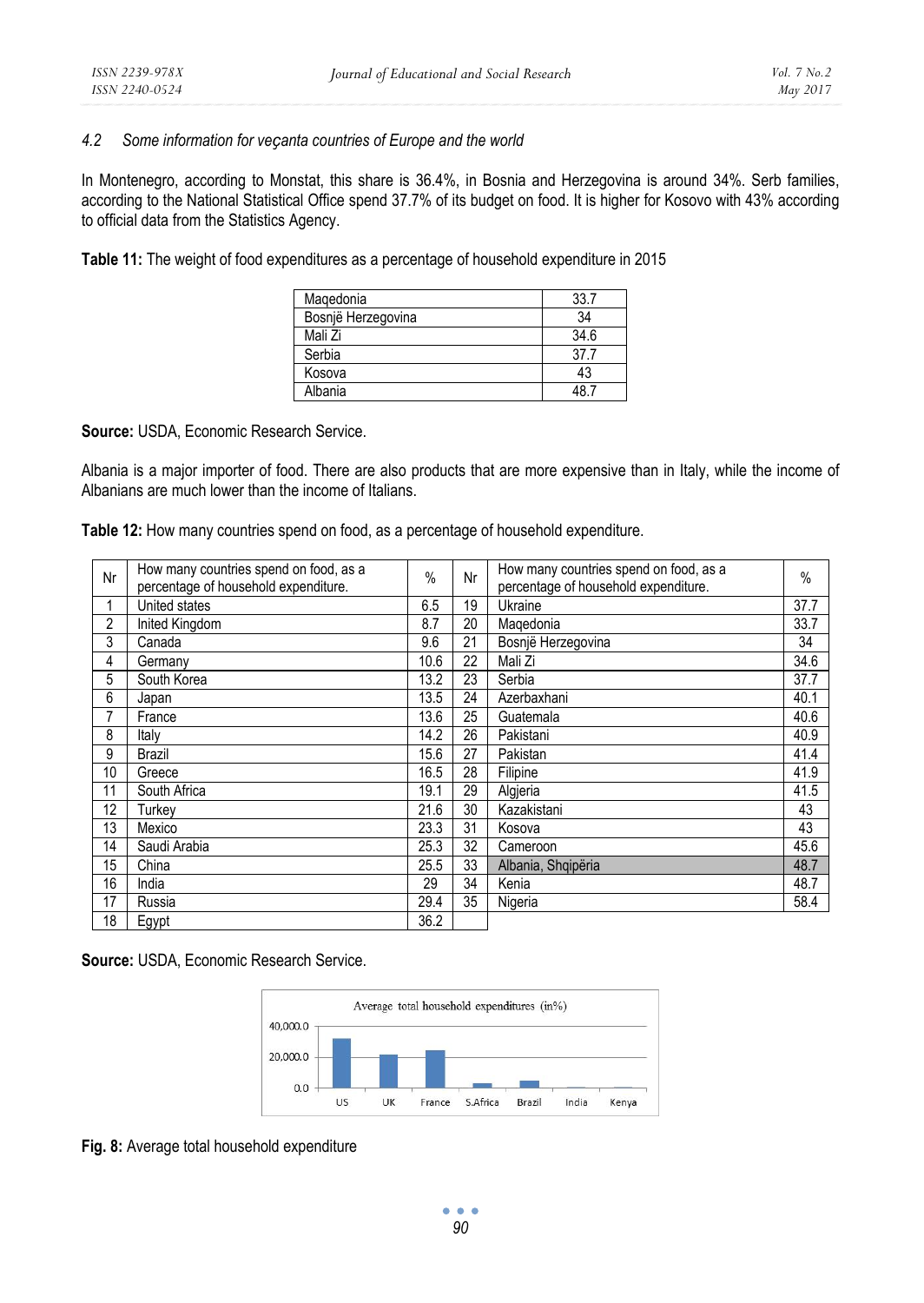#### *4.2 Some information for veҫanta countries of Europe and the world*

In Montenegro, according to Monstat, this share is 36.4%, in Bosnia and Herzegovina is around 34%. Serb families, according to the National Statistical Office spend 37.7% of its budget on food. It is higher for Kosovo with 43% according to official data from the Statistics Agency.

**Table 11:** The weight of food expenditures as a percentage of household expenditure in 2015

| Magedonia          | 337  |
|--------------------|------|
| Bosnjë Herzegovina | 34   |
| Mali Zi            | 34.6 |
| Serbia             | 377  |
| Kosova             | 43   |
| Albania            |      |

**Source:** USDA, Economic Research Service.

Albania is a major importer of food. There are also products that are more expensive than in Italy, while the income of Albanians are much lower than the income of Italians.

**Table 12:** How many countries spend on food, as a percentage of household expenditure.

| Nr | How many countries spend on food, as a<br>percentage of household expenditure. | $\frac{0}{0}$ | Nr | How many countries spend on food, as a<br>percentage of household expenditure. | $\%$ |
|----|--------------------------------------------------------------------------------|---------------|----|--------------------------------------------------------------------------------|------|
|    | United states                                                                  | 6.5           | 19 | Ukraine                                                                        | 37.7 |
| 2  | Inited Kingdom                                                                 | 8.7           | 20 | Magedonia                                                                      | 33.7 |
| 3  | Canada                                                                         | 9.6           | 21 | Bosnië Herzegovina                                                             | 34   |
| 4  | Germany                                                                        | 10.6          | 22 | Mali Zi                                                                        | 34.6 |
| 5  | South Korea                                                                    | 13.2          | 23 | Serbia                                                                         | 37.7 |
| 6  | Japan                                                                          | 13.5          | 24 | Azerbaxhani                                                                    | 40.1 |
| 7  | France                                                                         | 13.6          | 25 | Guatemala                                                                      | 40.6 |
| 8  | Italy                                                                          | 14.2          | 26 | Pakistani                                                                      | 40.9 |
| 9  | Brazil                                                                         | 15.6          | 27 | Pakistan                                                                       | 41.4 |
| 10 | Greece                                                                         | 16.5          | 28 | Filipine                                                                       | 41.9 |
| 11 | South Africa                                                                   | 19.1          | 29 | Algieria                                                                       | 41.5 |
| 12 | Turkev                                                                         | 21.6          | 30 | Kazakistani                                                                    | 43   |
| 13 | Mexico                                                                         | 23.3          | 31 | Kosova                                                                         | 43   |
| 14 | Saudi Arabia                                                                   | 25.3          | 32 | Cameroon                                                                       | 45.6 |
| 15 | China                                                                          | 25.5          | 33 | Albania, Shqipëria                                                             | 48.7 |
| 16 | India                                                                          | 29            | 34 | Kenia                                                                          | 48.7 |
| 17 | Russia                                                                         | 29.4          | 35 | Nigeria                                                                        | 58.4 |
| 18 | Egypt                                                                          | 36.2          |    |                                                                                |      |

**Source:** USDA, Economic Research Service.



**Fig. 8:** Average total household expenditure